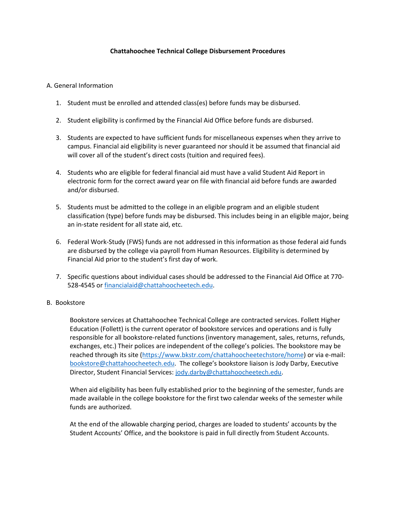## **Chattahoochee Technical College Disbursement Procedures**

## A. General Information

- 1. Student must be enrolled and attended class(es) before funds may be disbursed.
- 2. Student eligibility is confirmed by the Financial Aid Office before funds are disbursed.
- 3. Students are expected to have sufficient funds for miscellaneous expenses when they arrive to campus. Financial aid eligibility is never guaranteed nor should it be assumed that financial aid will cover all of the student's direct costs (tuition and required fees).
- 4. Students who are eligible for federal financial aid must have a valid Student Aid Report in electronic form for the correct award year on file with financial aid before funds are awarded and/or disbursed.
- 5. Students must be admitted to the college in an eligible program and an eligible student classification (type) before funds may be disbursed. This includes being in an eligible major, being an in-state resident for all state aid, etc.
- 6. Federal Work-Study (FWS) funds are not addressed in this information as those federal aid funds are disbursed by the college via payroll from Human Resources. Eligibility is determined by Financial Aid prior to the student's first day of work.
- 7. Specific questions about individual cases should be addressed to the Financial Aid Office at 770- 528-4545 o[r financialaid@chattahoocheetech.edu.](mailto:financialaid@chattahoocheetech.edu)

## B. Bookstore

Bookstore services at Chattahoochee Technical College are contracted services. Follett Higher Education (Follett) is the current operator of bookstore services and operations and is fully responsible for all bookstore-related functions (inventory management, sales, returns, refunds, exchanges, etc.) Their polices are independent of the college's policies. The bookstore may be reached through its site [\(https://www.bkstr.com/chattahoocheetechstore/home\)](https://www.bkstr.com/chattahoocheetechstore/home) or via e-mail: [bookstore@chattahoocheetech.edu](mailto:bookstore@chattahoocheetech.edu). The college's bookstore liaison is Jody Darby, Executive Director, Student Financial Services: [jody.darby@chattahoocheetech.edu.](mailto:jody.darby@chattahoocheetech.edu)

When aid eligibility has been fully established prior to the beginning of the semester, funds are made available in the college bookstore for the first two calendar weeks of the semester while funds are authorized.

At the end of the allowable charging period, charges are loaded to students' accounts by the Student Accounts' Office, and the bookstore is paid in full directly from Student Accounts.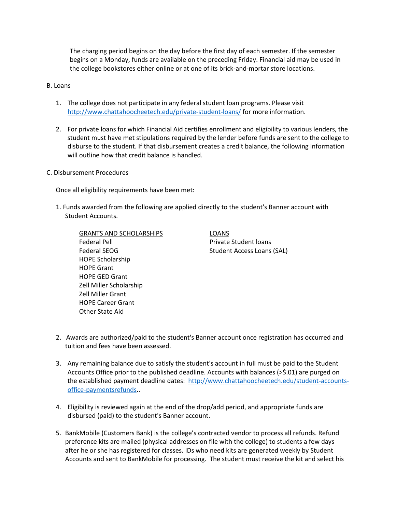The charging period begins on the day before the first day of each semester. If the semester begins on a Monday, funds are available on the preceding Friday. Financial aid may be used in the college bookstores either online or at one of its brick-and-mortar store locations.

## B. Loans

- 1. The college does not participate in any federal student loan programs. Please visit <http://www.chattahoocheetech.edu/private-student-loans/> for more information.
- 2. For private loans for which Financial Aid certifies enrollment and eligibility to various lenders, the student must have met stipulations required by the lender before funds are sent to the college to disburse to the student. If that disbursement creates a credit balance, the following information will outline how that credit balance is handled.
- C. Disbursement Procedures

Once all eligibility requirements have been met:

1. Funds awarded from the following are applied directly to the student's Banner account with Student Accounts.

GRANTS AND SCHOLARSHIPS **LOANS** Federal Pell **Private Student loans** Federal SEOG Student Access Loans (SAL) HOPE Scholarship HOPE Grant HOPE GED Grant Zell Miller Scholarship Zell Miller Grant HOPE Career Grant Other State Aid

- 2. Awards are authorized/paid to the student's Banner account once registration has occurred and tuition and fees have been assessed.
- 3. Any remaining balance due to satisfy the student's account in full must be paid to the Student Accounts Office prior to the published deadline. Accounts with balances (>\$.01) are purged on the established payment deadline dates: [http://www.chattahoocheetech.edu/student-accounts](http://www.chattahoocheetech.edu/student-accounts-office-paymentsrefunds)[office-paymentsrefunds.](http://www.chattahoocheetech.edu/student-accounts-office-paymentsrefunds).
- 4. Eligibility is reviewed again at the end of the drop/add period, and appropriate funds are disbursed (paid) to the student's Banner account.
- 5. BankMobile (Customers Bank) is the college's contracted vendor to process all refunds. Refund preference kits are mailed (physical addresses on file with the college) to students a few days after he or she has registered for classes. IDs who need kits are generated weekly by Student Accounts and sent to BankMobile for processing. The student must receive the kit and select his